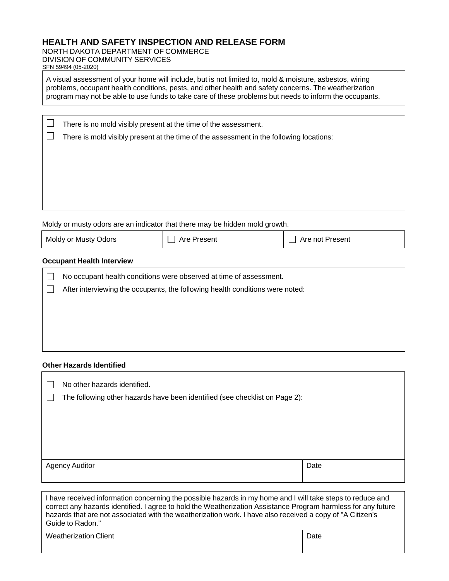# **HEALTH AND SAFETY INSPECTION AND RELEASE FORM**

NORTH DAKOTA DEPARTMENT OF COMMERCE DIVISION OF COMMUNITY SERVICES SFN 59494 (05-2020)

A visual assessment of your home will include, but is not limited to, mold & moisture, asbestos, wiring problems, occupant health conditions, pests, and other health and safety concerns. The weatherization program may not be able to use funds to take care of these problems but needs to inform the occupants.

There is no mold visibly present at the time of the assessment.

There is mold visibly present at the time of the assessment in the following locations:

Moldy or musty odors are an indicator that there may be hidden mold growth.

| Moldy or Musty Odors | $\Box$ Are Present | $\Box$ Are not Present |
|----------------------|--------------------|------------------------|
|----------------------|--------------------|------------------------|

## **Occupant Health Interview**

 $\Box$  $\Box$ 

| No occupant health conditions were observed at time of assessment.            |
|-------------------------------------------------------------------------------|
| After interviewing the occupants, the following health conditions were noted: |
|                                                                               |
|                                                                               |
|                                                                               |
|                                                                               |

# **Other Hazards Identified**

| No other hazards identified.<br>The following other hazards have been identified (see checklist on Page 2):                                                                                                                                                                                                                                                  |      |  |
|--------------------------------------------------------------------------------------------------------------------------------------------------------------------------------------------------------------------------------------------------------------------------------------------------------------------------------------------------------------|------|--|
| <b>Agency Auditor</b>                                                                                                                                                                                                                                                                                                                                        | Date |  |
| I have received information concerning the possible hazards in my home and I will take steps to reduce and<br>correct any hazards identified. I agree to hold the Weatherization Assistance Program harmless for any future<br>hazards that are not associated with the weatherization work. I have also received a copy of "A Citizen's<br>Guide to Radon." |      |  |

| Weatherization Client | Date |
|-----------------------|------|
|                       |      |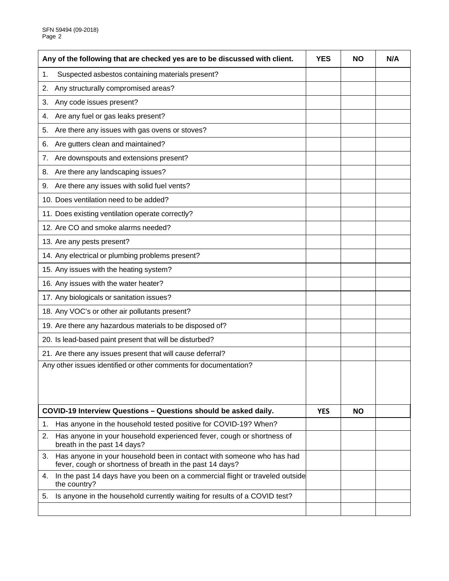| Any of the following that are checked yes are to be discussed with client.                                                              |  | <b>NO</b> | N/A |
|-----------------------------------------------------------------------------------------------------------------------------------------|--|-----------|-----|
| Suspected asbestos containing materials present?<br>1.                                                                                  |  |           |     |
| Any structurally compromised areas?<br>2.                                                                                               |  |           |     |
| Any code issues present?<br>3.                                                                                                          |  |           |     |
| Are any fuel or gas leaks present?<br>4.                                                                                                |  |           |     |
| Are there any issues with gas ovens or stoves?<br>5.                                                                                    |  |           |     |
| Are gutters clean and maintained?<br>6.                                                                                                 |  |           |     |
| Are downspouts and extensions present?<br>7.                                                                                            |  |           |     |
| Are there any landscaping issues?<br>8.                                                                                                 |  |           |     |
| Are there any issues with solid fuel vents?<br>9.                                                                                       |  |           |     |
| 10. Does ventilation need to be added?                                                                                                  |  |           |     |
| 11. Does existing ventilation operate correctly?                                                                                        |  |           |     |
| 12. Are CO and smoke alarms needed?                                                                                                     |  |           |     |
| 13. Are any pests present?                                                                                                              |  |           |     |
| 14. Any electrical or plumbing problems present?                                                                                        |  |           |     |
| 15. Any issues with the heating system?                                                                                                 |  |           |     |
| 16. Any issues with the water heater?                                                                                                   |  |           |     |
| 17. Any biologicals or sanitation issues?                                                                                               |  |           |     |
| 18. Any VOC's or other air pollutants present?                                                                                          |  |           |     |
| 19. Are there any hazardous materials to be disposed of?                                                                                |  |           |     |
| 20. Is lead-based paint present that will be disturbed?                                                                                 |  |           |     |
| 21. Are there any issues present that will cause deferral?                                                                              |  |           |     |
| Any other issues identified or other comments for documentation?                                                                        |  |           |     |
|                                                                                                                                         |  |           |     |
|                                                                                                                                         |  |           |     |
| COVID-19 Interview Questions - Questions should be asked daily.                                                                         |  | <b>NO</b> |     |
| Has anyone in the household tested positive for COVID-19? When?<br>1.                                                                   |  |           |     |
| 2.<br>Has anyone in your household experienced fever, cough or shortness of<br>breath in the past 14 days?                              |  |           |     |
| Has anyone in your household been in contact with someone who has had<br>3.<br>fever, cough or shortness of breath in the past 14 days? |  |           |     |
| In the past 14 days have you been on a commercial flight or traveled outside<br>4.<br>the country?                                      |  |           |     |
| Is anyone in the household currently waiting for results of a COVID test?<br>5.                                                         |  |           |     |
|                                                                                                                                         |  |           |     |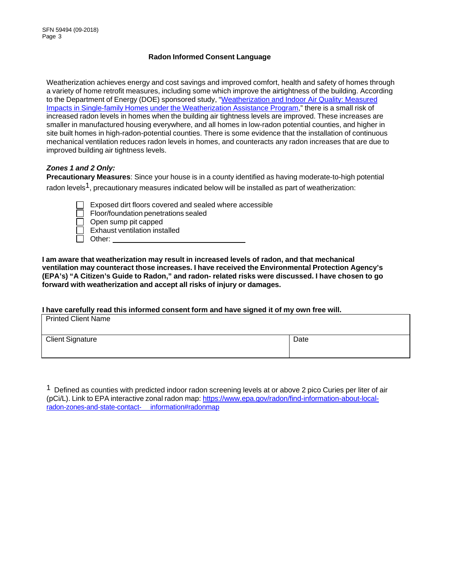## **Radon Informed Consent Language**

Weatherization achieves energy and cost savings and improved comfort, health and safety of homes through a variety of home retrofit measures, including some which improve the airtightness of the building. According to the Department of Energy (DOE) sponsored study, ["Weatherization](http://weatherization.ornl.gov/Retrospectivepdfs/ORNL_TM-2014_170.pdf) and Indoor Air Quality: Measured Impacts in [Single-family](http://weatherization.ornl.gov/Retrospectivepdfs/ORNL_TM-2014_170.pdf) Homes under the [Weatherization](http://weatherization.ornl.gov/Retrospectivepdfs/ORNL_TM-2014_170.pdf) Assistance Program," there is a small risk of increased radon levels in homes when the building air tightness levels are improved. These increases are smaller in manufactured housing everywhere, and all homes in low-radon potential counties, and higher in site built homes in high-radon-potential counties. There is some evidence that the installation of continuous mechanical ventilation reduces radon levels in homes, and counteracts any radon increases that are due to improved building air tightness levels.

# *Zones 1 and 2 Only:*

**Precautionary Measures**: Since your house is in a county identified as having moderate-to-high potential radon levels<sup>1</sup>, precautionary measures indicated below will be installed as part of weatherization:

- Exposed dirt floors covered and sealed where accessible
- Floor/foundation penetrations sealed
- $\Box$  Open sump pit capped
	- Exhaust ventilation installed
- □ Other:

**I am aware that weatherization may result in increased levels of radon, and that mechanical ventilation may counteract those increases. I have received the Environmental Protection Agency's (EPA's) "A Citizen's Guide to Radon," and radon- related risks were discussed. I have chosen to go forward with weatherization and accept all risks of injury or damages.**

#### **I have carefully read this informed consent form and have signed it of my own free will.**

| <b>Printed Client Name</b> |      |
|----------------------------|------|
| <b>Client Signature</b>    | Date |

<sup>1</sup> Defined as counties with predicted indoor radon screening levels at or above 2 pico Curies per liter of [air](https://www.epa.gov/radon/find-information-about-local-radon-zones-and-state-contact-information#radonmap) (pCi/L). Link to EPA interactive zonal radon map: [https://www.epa.gov/radon/find-information-about-local](https://www.epa.gov/radon/find-information-about-local-radon-zones-and-state-contact-information#radonmap)[radon-zones-and-state-contact- information#radonmap](https://www.epa.gov/radon/find-information-about-local-radon-zones-and-state-contact-information#radonmap)